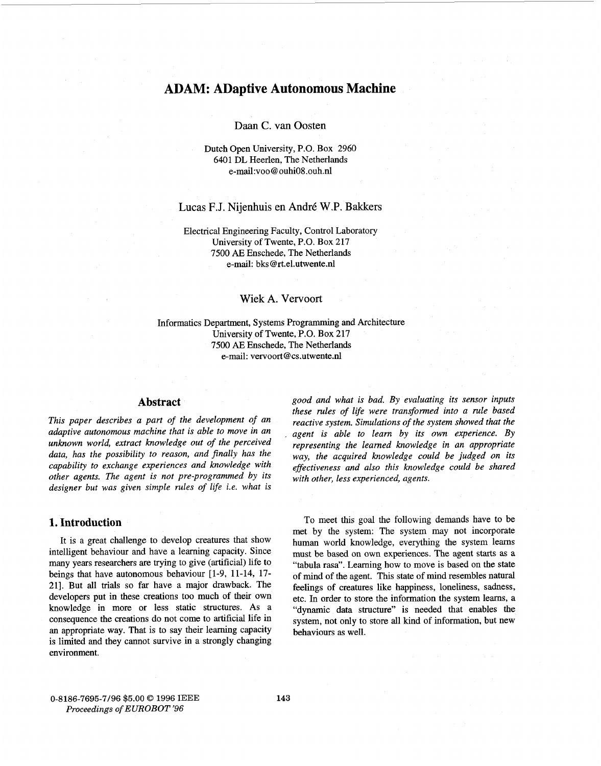# **ADAM: ADaptive Autonomous Machine**

# Daan *C.* van Oosten

# Dutch Open University, P.O. Box 2960 6401 DL Heerlen, The Netherlands e-mail:voo@ ouhi08.ouh.nl

# Lucas F.J. Nijenhuis en Andr6 W.P. Bakkers

### Electrical Engineering Faculty, Control Laboratory University of Twente, P.O. Box 217 7500 AE Enschede, The Netherlands e-mail: bks @rt.el.utwente.nl

# Wiek A. Vervoort

Informatics Department, Systems Programming and Architecture University of Twente, P.O. Box 217 7500 *AE* Enschede, The Netherlands e-mail: vervoort@cs.utwente.nl

# **Abstract**

*This paper describes a part of the development of an adaptive autonomous machine that is able to move in an unknown world, extract knowledge out of the perceived data, has the possibility to reason, and finally has the capability to exchange experiences and knowledge with other agents. The agent is not pre-programmed by its*  designer but was given simple rules of life *i.e.* what is

# **1. Introduction**

It is a great challenge to develop creatures that show intelligent behaviour and have a learning capacity. Since many years researchers are trying to give (artificial) life to beings that have autonomous behaviour [l-9, 11-14, 17- 211. But all trials so far have a major drawback. The developers put in these creations too much of their own knowledge in more or less static structures. **As** a consequence the creations do not come to artificial life in an appropriate way. That is to say their learning capacity is limited and they cannot survive in a strongly changing environment.

*good and what is bad. By evaluating its sensor inputs these rules of life were transfomzed into a rule based reactive system. Simulations of the system showed that the agent is able to learn by its own experience. By representing the leamed knowledge in an appropriate way, the acquired knowledge could be judged on its effectiveness and also this knowledge could be shared with other, less experienced, agents.* 

To meet this goal the following demands have to be met by the system: The system may not incorporate human world knowledge, everything the system learns must be based on own experiences. The agent starts as a "tabula rasa". Learning how to move is based on the state of mind of the agent. This state of mind resembles natural feelings of creatures like happiness, loneliness, sadness, etc. In order to store the information the system learns, a "dynamic data structure" is needed that enables the system, not only to store all kind of information, but new behaviours as well.

0-8186-7695-7/96 \$5.00 *0* <sup>1996</sup>*IEEE Proceedings of EUROBOT '96*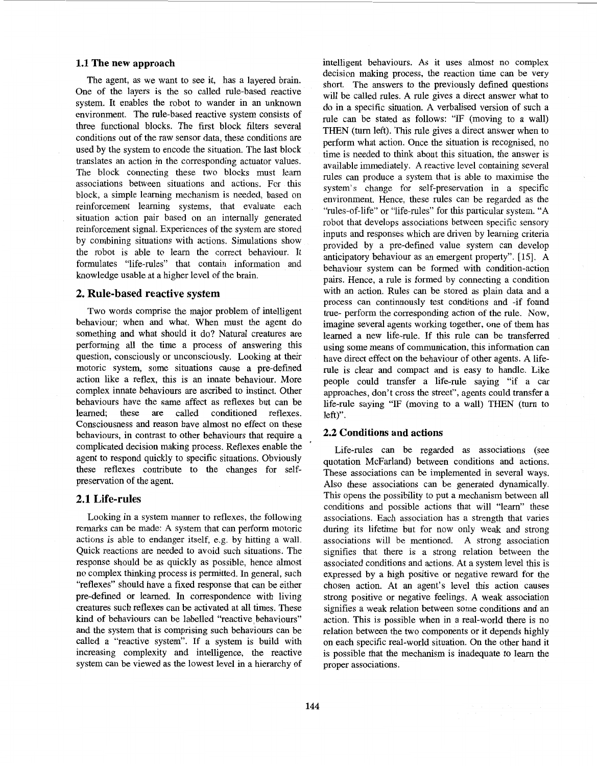#### **1.1 The new approach**

The agent, as we want to see it, has a layered brain. One of the layers is the so called rule-based reactive system. It enables the robot to wander in an unknown environment. The rule-based reactive system consists of three functional blocks. The first block filters several conditions out of the raw sensor data, these conditions are used by the system to encode the situation. The last block translates an action in the corresponding actuator values. The block connecting these two blocks must learn associations between situations and actions. For this block, a simple learning mechanism is needed, based on reinforcement learning systems, that evaluate each situation action pair based on an internally generated reinforcement signal. Experiences of the system are stored by combining situations with actions. Simulations show the robot is able to learn the correct behaviour. It formulates "life-rules'' that contain information and knowledge usable at a higher level of the brain.

# **2. Rule-based reactive system**

Two words comprise the major problem of intelligent behaviour; when and what. When must the agent do something and what should it do? Natural creatures are performing all the time a process of answering this question, consciously or unconsciously. Looking at their motoric system, some situations cause a pre-defined action like a reflex, this is an innate behaviour. More complex innate behaviours are ascribed to instinct. Other behaviours have the same affect as reflexes but can be leamed; these are called conditioned reflexes. Consciousness and reason have almost no effect on these behaviours, in contrast to other behaviours that require a complicated decision making process. Reflexes enable the agent to respond quickly to specific situations. Obviously these reflexes contribute to the changes for selfpreservation of the agent.

#### **2.1 Life-rules**

Looking in a system manner to reflexes, the following remarks can be made: **A** system that can perform motoric actions is able to endanger itself, e.g. by hitting a wall. Quick reactions are needed to avoid such situations. The response should be as quickly as possible, hence almost no complex thinking process is permitted. In general, such "reflexes" should have a fixed response that can be either pre-defined or learned. In correspondence with living creatures such reflexes can be activated at all times. These kind of behaviours can be labelled "reactive behaviours" and the system that is comprising such behaviours can be called a "reactive system". If a system is build with increasing complexity and intelligence, the reactive system can be viewed as the lowest level in a hierarchy of

intelligent behaviours. As it uses almost no complex decision making process, the reaction time can be very short. The answers to the previously defined questions will be called rules. A rule gives a direct answer what to do in a specific situation. A verbalised version of such a rule can be stated as follows: "IF (moving to a wall) THEN (turn left). This rule gives a direct answer when to perform what action. Once the situation is recognised, no time is needed to think about this situation, the answer is available immediately. **A** reactive level containing several rules can produce a system that is able to maximise the system's change for self-preservation in a specific environment. Hence, these rules can be regarded as the "rules-of-life'' or "life-rules" for this particular system. "A robot that develops associations between specific sensory inputs and responses which are driven by learning criteria provided by a pre-defined value system can develop anticipatory behaviour as an emergent property". [15]. A behaviour system can be formed with condition-action pairs. Hence, a rule is formed by connecting a condition with an action. Rules can be stored as plain data and a process can continuously test conditions and -if found true- perform the corresponding action of the rule. Now, imagine several agents working together, one of them has learned a new life-rule. If this rule can be transferred using some means of communication, this information can have direct effect on the behaviour of other agents. A liferule is clear and compact and is easy to handle. Like people could transfer a life-rule saying "if a car approaches, don't cross the street", agents could transfer a life-rule saying "IF (moving to a wall) THEN (turn to left)".

# **2.2 Conditions and actions**

Life-rules can be regarded as associations (see quotation McFarland) between conditions and actions. These associations can be implemented in several ways. Also these associations can be generated dynamically. This opens the possibility to put a mechanism between all conditions and possible actions that will "learn" these associations. Each association has a strength that varies during its lifetime but for now only weak and strong associations will be mentioned. A strong association signifies that there is a strong relation between the associated conditions and actions. At a system level this is expressed by a high positive or negative reward for the chosen action. At an agent's level this action causes strong positive or negative feelings. **A** weak association signifies a weak relation between some conditions and an action. This is possible when in a real-world there is no relation between the two components or it depends highly on each specific real-world situation. On the other hand it is possible that the mechanism is inadequate to learn the proper associations.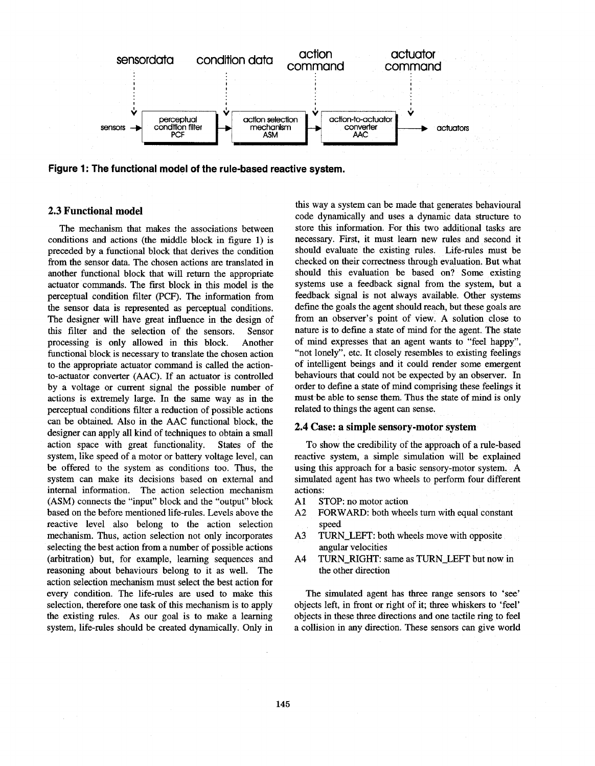

Figure 1: The functional model of the rule-based reactive system.

# **2.3 Functional model**

The mechanism that makes the associations between conditions and actions (the middle block in figure **1)** is preceded by a functional block that derives the condition from the sensor data. The chosen actions are translated in another functional block that will return the appropriate actuator commands. The first block in this model is the perceptual condition filter (PCF). The information from the sensor data is represented as perceptual conditions. The designer will have great influence in the design of this filter and the selection of the sensors. Sensor processing is only allowed in this block. Another functional block is necessary to translate the chosen action to the appropriate actuator command is called the actionto-actuator converter (AAC). If an actuator is controlled by a voltage or current signal the possible number of actions is extremely large. In the same way as in the perceptual conditions filter a reduction of possible actions can be obtained. Also in the AAC functional block, the designer can apply all kind of techniques to obtain a small action space with great functionality. States of the system, like speed of a motor or battery voltage level, can be offered to the system as conditions too. Thus, the system can make its decisions based on external and internal information. The action selection mechanism (ASM) connects the "input" block and the "output" block based on the before mentioned life-rules. Levels above the reactive level also belong to the action selection mechanism. Thus, action selection not only incorporates selecting the best action from a number of possible actions (arbitration) but, for example, learning sequences and reasoning about behaviours belong to it as well. The action selection mechanism must select the best action for every condition. The life-rules are used to make this selection, therefore one task of this mechanism is to apply the existing rules. As our goal is to make a learning system, life-rules should be created dynamically. Only in

this way a system can be made that generates behavioural code dynamically and uses a dynamic data structure to store this information. For this two additional tasks are necessary. First, it must learn new rules and second it should evaluate the existing rules. Life-rules must be checked on their correctness through evaluation. But what should this evaluation be based on? Some existing systems use a feedback signal from the system, but a feedback signal is not always available. Other systems define the goals the agent should reach, but these goals are from an observer's point of view. A solution close to nature is to define a state of mind for the agent. The state of mind expresses that an agent wants to "feel happy", "not lonely", etc. It closely resembles to existing feelings of intelligent beings and it could render some emergent behaviours that could not be expected by an observer. In order to define a state of mind comprising these feelings it must be able to sense them. Thus the state of mind is only related to things the agent can sense.

#### **2.4 Case: a simple sensory-motor system**

To show the credibility of the approach of a rule-based reactive system, a simple simulation will be explained using this approach for a basic sensory-motor system. A simulated agent has two wheels to perform four different actions:

- A1 STOP: no motor action
- $A<sub>2</sub>$ FORWARD: both wheels turn with equal constant speed
- **A3**  TURN-LEFT: both wheels move with opposite angular velocities
- A4 TURN-RIGHT: same as TURN-LEFT but now in the other direction

The simulated agent has three range sensors to 'see' objects left, in front or right of it; three whiskers to 'feel' objects in these three directions and one tactile ring to feel a collision in any direction. These sensors can give world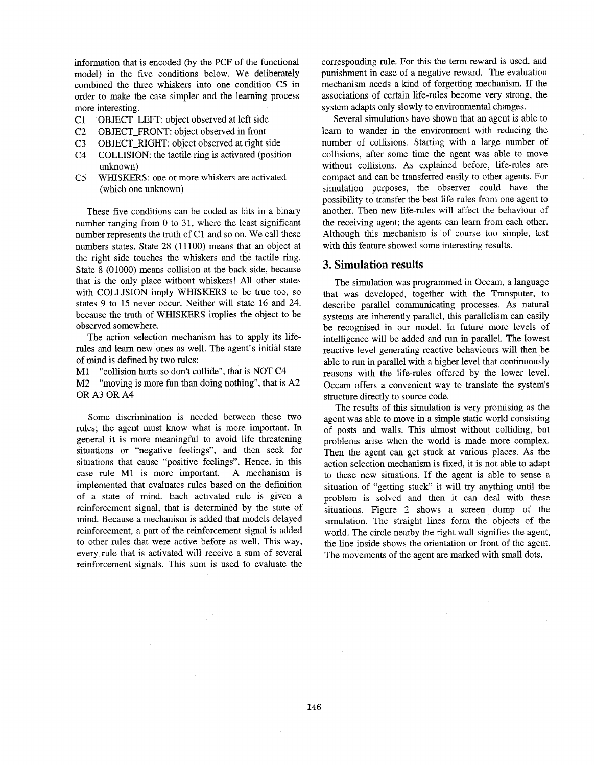information that is encoded (by the PCF of the functional model) in the five conditions below. We deliberately combined the three whiskers into one condition C5 in order to make the case simpler and the learning process more interesting.

- C1 OBJECT-LEFT: object observed at left side
- C2 OBJECT-FRONT: object observed in front
- C3 OBJECT-RIGHT: object observed at right side
- $C<sub>4</sub>$ COLLISION: the tactile ring is activated (position unknown)
- $C<sub>5</sub>$ WHISKERS: one or more whiskers are activated (which one unknown)

These five conditions can be coded **as** bits in a binary number ranging from 0 to 31, where the least significant number represents the truth of C1 and so on. We call these numbers states. State 28 (11100) means that an object at the right side touches the whiskers and the tactile ring. State 8 (01000) means collision at the back side, because that is the only place without whiskers! All other states with COLLISION imply WHISKERS to be true too, so states 9 to 15 never occur. Neither will state **16** and 24, because the truth of WHISKERS implies the object to be observed somewhere.

The action selection mechanism has to apply its liferules and learn new ones as well. The agent's initial state of mind is defined by two rules:

M1 "collision hurts so don't collide", that is NOT C4

M2 OR A3 OR A4 "moving is more fun than doing nothing", that is A2

Some discrimination is needed between these two rules; the agent must know what is more important. In general it is more meaningful to avoid life threatening situations or "negative feelings", and then seek for situations that cause "positive feelings". Hence, in this case rule M1 is more important. A mechanism is implemented that evaluates rules based on the definition of a state of mind. Each activated rule is given a reinforcement signal, that is determined by the state of mind. Because a mechanism is added that models delayed reinforcement, a part of the reinforcement signal is added to other rules that were active before **as** well. This way, every rule that is activated will receive a sum of several reinforcement signals. This sum is used to evaluate the corresponding rule. For this the term reward is used, and punishment in case of a negative reward. The evaluation mechanism needs a kind of forgetting mechanism. If the associations of certain life-rules become very strong, the system adapts only slowly to environmental changes.

Several simulations have shown that an agent is able to learn to wander in the environment with reducing the number of collisions. Starting with a large number of collisions, after some time the agent was able to move without collisions. As explained before, life-rules are compact and can be transferred easily to other agents. For simulation purposes, the observer could have the possibility to transfer the best life-rules from one agent to another. Then new life-rules will affect the behaviour of the receiving agent; the agents can learn from each other. Although this mechanism is of course too simple, test with this feature showed some interesting results.

#### **3. Simulation results**

The simulation was programmed in Occam, a language that was developed, together with the Transputer, to describe parallel communicating processes. As natural systems are inherently parallel, this parallelism can easily be recognised in our model. In future more levels of intelligence will be added and run in parallel. The lowest reactive level generating reactive behaviours will then be able to run in parallel with a higher level that continuously reasons with the life-rules offered by the lower level. Occam offers a convenient way to translate the system's structure directly to source code.

The results of this simulation is very promising as the agent was able to move in a simple static world consisting of posts and walls. This almost without colliding, but problems arise when the world is made more complex. Then the agent can get stuck at various places. As the action selection mechanism is fixed, it is not able to adapt to these new situations. If the agent is able to sense a situation of "getting stuck" it will try anything until the problem is solved and then it can deal with these situations. Figure 2 shows a screen dump of the simulation. The straight lines form the objects of the world. The circle nearby the right wall signifies the agent, the line inside shows the orientation or front of the agent. The movements of the agent are marked with small dots.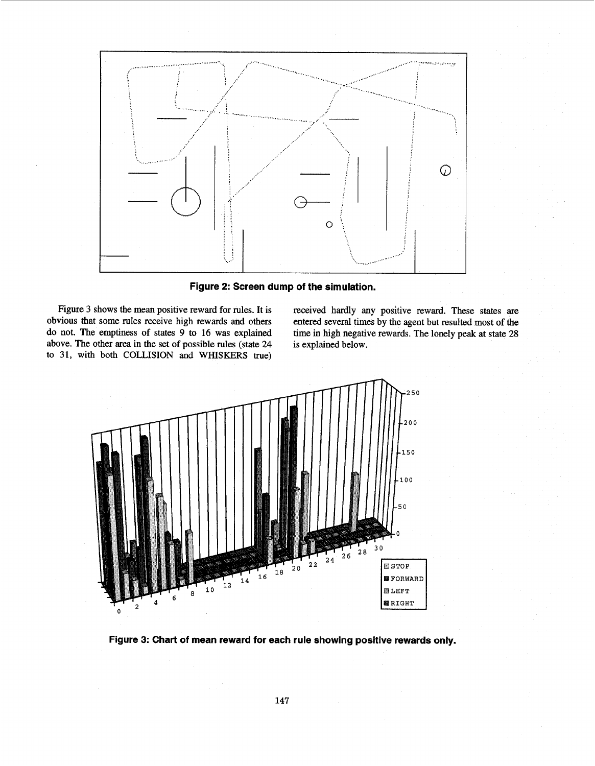<span id="page-4-0"></span>

**Figure 2: Screen dump of the simulation.** 

Figure 3 shows the mean positive reward for rules. It is obvious that some rules receive high rewards and others do not. The emptiness of states 9 to **16** was explained above. The other area in the set of possible rules (state 24 to 31, with both COLLISION and WHISKERS true) received hardly any positive reward. These states **are**  entered several times by the agent but resulted most of the time in high negative rewards. The lonely peak at state 28 is explained below.



**Figure 3: Chart of mean reward for each rule showing positive rewards only.**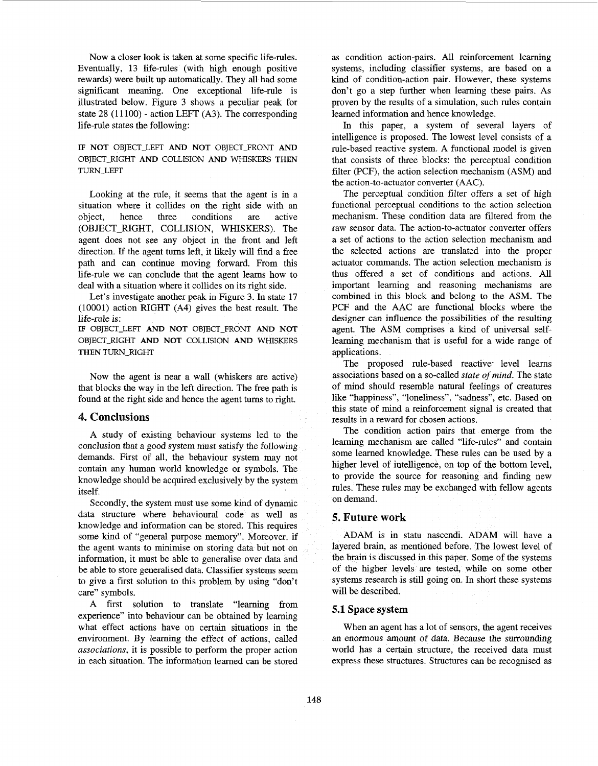Now a closer look is taken at some specific life-rules. Eventually, **13** life-rules (with high enough positive rewards) were built up automatically. They all had some significant meaning. One exceptional life-rule is illustrated below. [Figure 3](#page-4-0) shows a peculiar peak for state 28 (11100) - action LEFT (A3). The corresponding life-rule states the following:

# **IF NOT** OBJECT-LEFT **AND NOT** OBJECT-FRONT **AND**  OBJECT-RIGHT **AND** COLLISION **AND** WHISKERS **THEN**  TURN-LEFT

Looking at the rule, it seems that the agent is in a situation where it collides on the right side with an object, hence three conditions are active (OBJECT-RIGHT, COLLISION, WHISKERS). The agent does not see any object in the front and left direction. If the agent turns left, it likely will find a free path and can continue moving forward. From this life-rule we can conclude that the agent learns how to deal with a situation where it collides on its right side.

Let's investigate another peak in [Figure](#page-4-0) **3.** In state 17 (10001) action RIGHT (A4) gives the best result. The life-rule is:

**IF** OBJECT-LEFT **AND NOT** OBJECT-FRONT AND **NOT**  OBJECT-RIGHT **AND NOT** COLLISION **AND** WHISKERS **THEN** TURN-RIGHT

Now the agent is near a wall (whiskers are active) that blocks the way in the left direction. The free path is found at the right side and hence the agent turns to right.

# . **Conclusions**

**A** study of existing behaviour systems led to the conclusion that a good system must satisfy the following demands. First of all, the behaviour system may not contain any human world knowledge or symbols. The knowledge should be acquired exclusively by the system itself.

Secondly, the system must use some kind of dynamic data structure where behavioural code as well as knowledge and information can be stored. This requires some kind of "general purpose memory". Moreover, if the agent wants to minimise on storing data but not on information, it must be able to generalise over data and be able to store generalised data. Classifier systems seem to give a fist solution to this problem by using "don't care" symbols.

A fist solution to translate "learning from experience" into behaviour can be obtained by learning what effect actions have on certain situations in the environment. By learning the effect of actions, called *associations,* it is possible to perform the proper action in each situation. The information learned can be stored

**as** condition action-pairs. All reinforcement learning systems, including classifier systems, are based on a kind of condition-action pair. However, these systems don't go a step further when learning these pairs. As proven by the results of a simulation, such rules contain learned information and hence knowledge.

In this paper, a system of several layers of intelligence is proposed. The lowest level consists of a rule-based reactive system. A functional model is given that consists of three blocks: the perceptual condition filter (PCF), the action selection mechanism (ASM) and the action-to-actuator converter (AAC).

The perceptual condition filter offers a set of high functional perceptual conditions to the action selection mechanism. These condition data are filtered from the raw sensor data. The action-to-actuator converter offers a set of actions to the action selection mechanism and the selected actions are translated into the proper actuator commands. The action selection mechanism is thus offered a set of conditions and actions. All important learning and reasoning mechanisms are combined in this block and belong to the ASM. The PCF and the AAC are functional blocks where the designer can influence the possibilities of the resulting agent. The ASM comprises a kind of universal selflearning mechanism that is useful for a wide range of applications.

The proposed rule-based reactive level learns associations based on a so-called *state* of *mind.* The state of mind should resemble natural feelings of creatures like "happiness", "loneliness", "sadness", etc. Based on this state of mind a reinforcement signal is created that results in a reward for chosen actions.

The condition action pairs that emerge from the learning mechanism are called "life-rules" and contain some learned knowledge. These rules can be used by a higher level of intelligence, on top of the bottom level, to provide the source for reasoning and finding new rules. These rules may be exchanged with fellow agents on demand.

# **5. Future work**

ADAM is in statu nascendi. ADAM will have a layered brain, as mentioned before. The lowest level of the brain is discussed in this paper. Some of the systems of the higher levels are tested, while on some other systems research is still going on. In short these systems will be described.

#### **5.1 Space system**

When an agent has a lot of sensors, the agent receives an enormous amount of data. Because the surrounding world has a certain structure, the received data must express these structures. Structures can be recognised as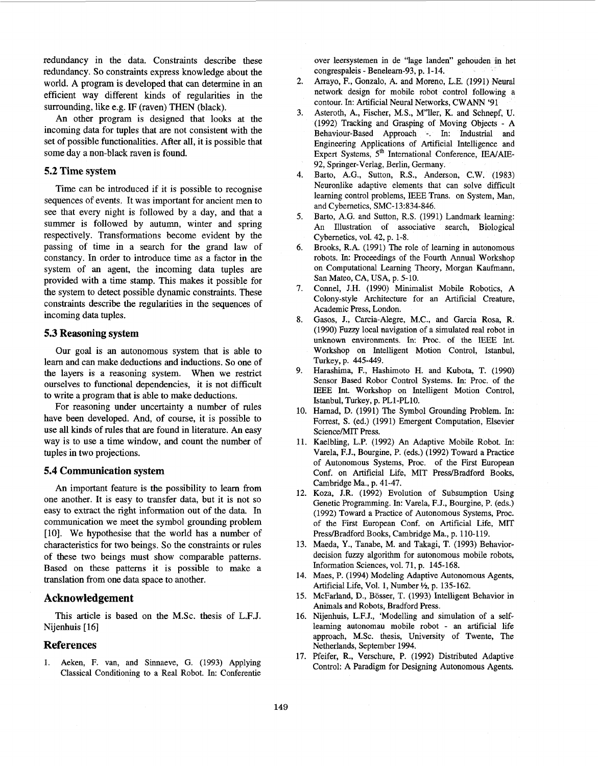redundancy in the data. Constraints describe these redundancy. *So* constraints express knowledge about the world. A program is developed that can determine in an efficient way different kinds of regularities in the surrounding, like e.g. IF (raven) THEN (black).

An other program is designed that looks at the incoming data for tuples that are not consistent with the set of possible functionalities. After all, it is possible that some day a non-black raven is found.

# **5.2 Time system**

Time can be introduced if it is possible to recognise sequences of events. It was important for ancient men to see that every night is followed by a day, and that a summer is followed by autumn, winter and spring respectively. Transformations become evident by the passing of time in a search for the grand law of constancy. In order to introduce time as a factor in the system of an agent, the incoming data tuples are provided with a time stamp. This makes it possible for the system to detect possible dynamic constraints. These constraints describe the regularities in the sequences of incoming data tuples.

### **5.3 Reasoning system**

Our goal is an autonomous system that is able to learn and can make deductions and inductions. So one of the layers is a reasoning system, When we restrict ourselves to functional dependencies, it is not diffficult to write a program that is able to make deductions.

For reasoning under uncertainty a number of rules have been developed. And, of course, it is possible to use all kinds of rules that are found in literature. An easy way is to use a time window, and count the number of tuples in two projections.

#### **5.4 Communication system**

An important feature is the possibility to learn from one another. It is easy to transfer data, but it is not so easy to extract the right information out of the data. In communication we meet the symbol grounding problem [lo]. We hypothesise that the world has a number of characteristics for two beings. So the constraints or rules of these two beings must show comparable pattems. Based on these pattems it is possible to make **a**  translation from one data space to another.

# **Acknowledgement**

This article is based on the M.Sc. thesis of L.F.J. Nijenhuis [ **161** 

# **References**

1. Aeken, F. van, and Sinnaeve, G. (1993) Applying Classical Conditioning to a Real Robot. In: Conferentie

over leersystemen in de "lage landen" gehouden in het congrespaleis - Benelearn-93, p. 1-14.

- 2. Arrayo, F., Gonzalo, A. and Moreno, L.E. (1991) Neural network design for mobile robot control following a contour. In: Artificial Neural Networks, CWANN '91
- 3. Asteroth, A., Fischer, M.S., M"ller, K. and Schnepf, U. (1992) Tracking and Grasping of Moving Objects - A Behaviour-Based Approach -. In: Industrial and Engineering Applications of Artificial Intelligence and Expert Systems, 5<sup>th</sup> International Conference, IEA/AIE-92, Springer-Verlag, Berlin, Germany.
- 4. Barto, A.G., Sutton, R.S., Anderson, C.W. (1983) Neuronlike adaptive elements that can solve difficult leaming control problems, IEEE Trans. on System, Man, and Cybernetics, SMC-13:834-846.
- *5.*  Barto, A.G. and Sutton, **R.S.** (1991) Landmark learning: An Illustration of associative search, Biological Cybernetics, vol. 42, p. 1-8.
- 6. Brooks, R.A. (1991) The role of learning in autonomous robots. In: Proceedings of the Fourth Annual Workshop on Computational Learning Theory, Morgan Kaufmann, San Mateo, CA, USA, p. 5-10.
- 7. Connel, J.H. (1990) Minimalist Mobile Robotics, **A**  Colony-style Architecture for an Artificial Creature, Academic Press, London.
- 8. Gasos, J., Carcia-Alegre, M.C., and Garcia Rosa, R. (1990) Fuzzy local navigation of a simulated real robot in unknown environments. **In:** Proc. of the IEEE Int. Workshop on Intelligent Motion Control, Istanbul, Turkey, p. 445-449.
- 9. Harashima, F., Hashimoto **H.** and Kubota, T. (1990) Sensor Based Robor Control Systems. In: Proc. of the IEEE Int. Workshop on Intelligent Motion Control, Istanbul, Turkey, p. PL1-PL10.
- 10. Hamad, D. (1991) The Symbol Grounding Problem. In: Forrest, S. (ed.) (1991) Emergent Computation, Elsevier ScienceMIT Press.
- 11. Kaelbling, L.P. (1992) An Adaptive Mobile Robot. In: Varela, F.J., Bourgine, P. (eds.) (1992) Toward a Practice of Autonomous Systems, Proc. of the First European Conf. on Artificial Life, MIT Press/Bradford Books, Cambridge Ma., p. 41-47.
- 12. Koza, J.R. (1992) Evolution of Subsumption Using Genetic Programming. In: Varela, F.J., Bourgine, P. (eds.) (1992) Toward a Practice of Autonomous Systems, Proc. of the First European Conf. on Artificial Life, MIT Press/Bradford Books, Cambridge Ma., p. 110-119.
- 13. Maeda, Y., Tanabe, M. and Takagi, T. (1993) Behaviordecision fuzzy algorithm for autonomous mobile robots, Information Sciences, vol. 71, p. 145-168.
- 14. Maes, P. (1994) Modeling Adaptive Autonomous Agents, Artificial Life, Vol. 1, **Number** %, p. 135-162.
- 15. McFarland, D., Bosser, T. (1993) Intelligent Behavior in Animals and Robots, Bradford Press.
- 16. Nijenhuis, L.F.J., 'Modelling and simulation of a selfleaming autonomau mobile robot - an artificial life approach, M.Sc. thesis, University of Twente, The Netherlands, September 1994.
- 17. Pfeifer, R., Verschure, P. (1992) Distributed Adaptive Control: A Paradigm for Designing Autonomous Agents.